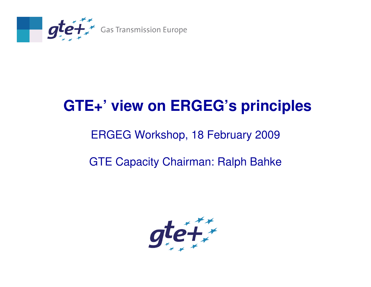

## **GTE+' view on ERGEG's principles**

#### ERGEG Workshop, 18 February 2009

#### GTE Capacity Chairman: Ralph Bahke

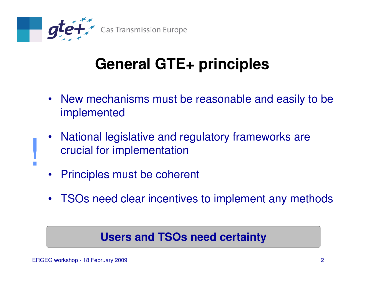

# **General GTE+ principles**

- New mechanisms must be reasonable and easily to beimplemented
- • National legislative and regulatory frameworks arecrucial for implementation
- $\bullet$ Principles must be coherent
- TSOs need clear incentives to implement any methods

#### **Users and TSOs need certainty**

**.**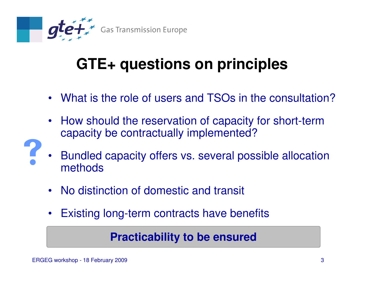

# **GTE+ questions on principles**

- What is the role of users and TSOs in the consultation?
- • How should the reservation of capacity for short-term capacity be contractually implemented?
- • Bundled capacity offers vs. several possible allocation methods
- $\bullet$ No distinction of domestic and transit
- $\bullet$ Existing long-term contracts have benefits

#### **Practicability to be ensured**

?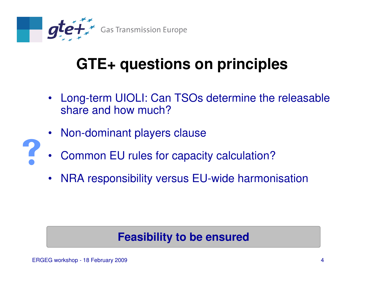

# **GTE+ questions on principles**

- Long-term UIOLI: Can TSOs determine the releasable share and how much?
- Non-dominant players clause
- •Common EU rules for capacity calculation?
- $\bullet$ NRA responsibility versus EU-wide harmonisation

#### **Feasibility to be ensured**

?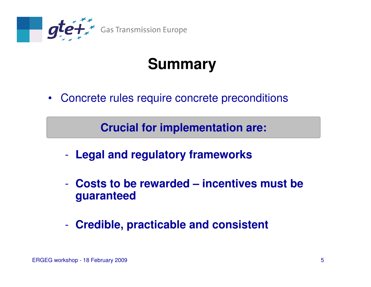

# **Summary**

• Concrete rules require concrete preconditions

Crucial for implementation are: **Crucial for implementation are:**

- $\mathcal{L}^{\text{max}}_{\text{max}}$ **Legal and regulatory frameworks**
- - **Costs to be rewarded – incentives must be guaranteed**
- $\mathcal{L}_{\mathcal{A}}$ **Credible, practicable and consistent**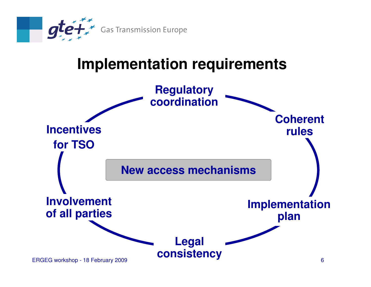

### **Implementation requirements**